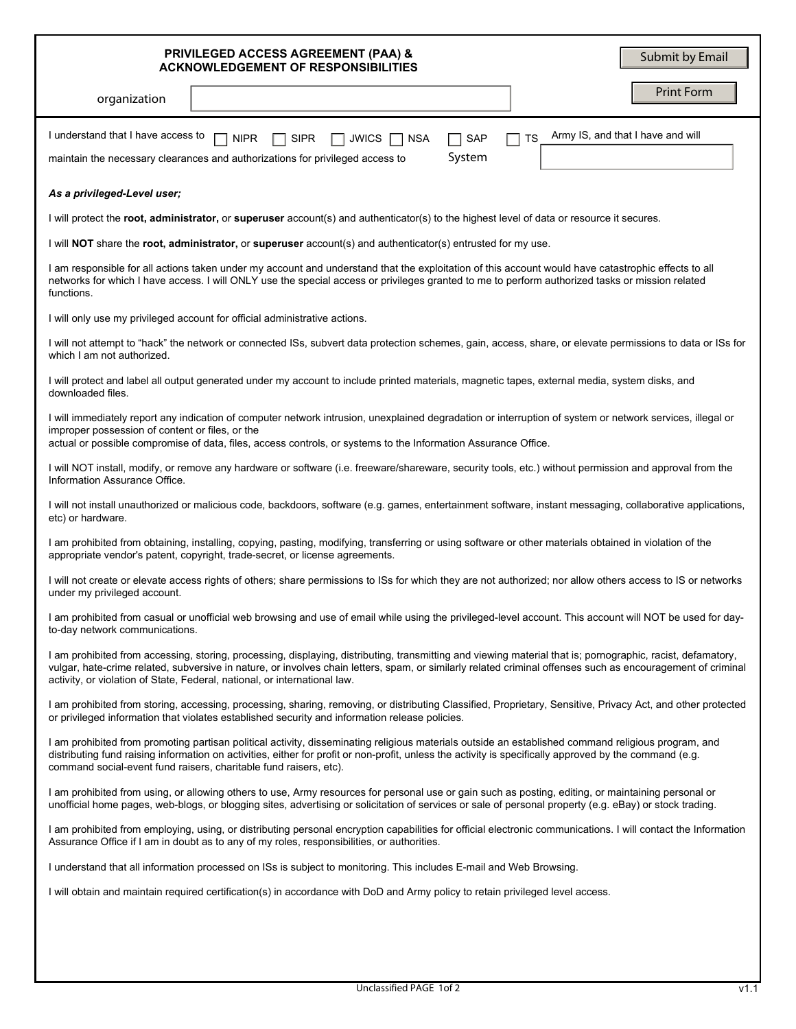| <b>PRIVILEGED ACCESS AGREEMENT (PAA) &amp;</b><br>Submit by Email<br><b>ACKNOWLEDGEMENT OF RESPONSIBILITIES</b>                                                                                                                                                                                                                                                                                         |
|---------------------------------------------------------------------------------------------------------------------------------------------------------------------------------------------------------------------------------------------------------------------------------------------------------------------------------------------------------------------------------------------------------|
| <b>Print Form</b><br>organization                                                                                                                                                                                                                                                                                                                                                                       |
| Army IS, and that I have and will<br>I understand that I have access to<br><b>TS</b><br><b>NIPR</b><br><b>SIPR</b><br><b>JWICS</b><br><b>NSA</b><br><b>SAP</b><br>System<br>maintain the necessary clearances and authorizations for privileged access to                                                                                                                                               |
| As a privileged-Level user;                                                                                                                                                                                                                                                                                                                                                                             |
| I will protect the root, administrator, or superuser account(s) and authenticator(s) to the highest level of data or resource it secures.                                                                                                                                                                                                                                                               |
| I will NOT share the root, administrator, or superuser account(s) and authenticator(s) entrusted for my use.                                                                                                                                                                                                                                                                                            |
| I am responsible for all actions taken under my account and understand that the exploitation of this account would have catastrophic effects to all<br>networks for which I have access. I will ONLY use the special access or privileges granted to me to perform authorized tasks or mission related<br>functions.                                                                                    |
| I will only use my privileged account for official administrative actions.                                                                                                                                                                                                                                                                                                                              |
| I will not attempt to "hack" the network or connected ISs, subvert data protection schemes, gain, access, share, or elevate permissions to data or ISs for<br>which I am not authorized.                                                                                                                                                                                                                |
| I will protect and label all output generated under my account to include printed materials, magnetic tapes, external media, system disks, and<br>downloaded files.                                                                                                                                                                                                                                     |
| I will immediately report any indication of computer network intrusion, unexplained degradation or interruption of system or network services, illegal or<br>improper possession of content or files, or the<br>actual or possible compromise of data, files, access controls, or systems to the Information Assurance Office.                                                                          |
| I will NOT install, modify, or remove any hardware or software (i.e. freeware/shareware, security tools, etc.) without permission and approval from the<br>Information Assurance Office.                                                                                                                                                                                                                |
| I will not install unauthorized or malicious code, backdoors, software (e.g. games, entertainment software, instant messaging, collaborative applications,<br>etc) or hardware.                                                                                                                                                                                                                         |
| I am prohibited from obtaining, installing, copying, pasting, modifying, transferring or using software or other materials obtained in violation of the<br>appropriate vendor's patent, copyright, trade-secret, or license agreements.                                                                                                                                                                 |
| I will not create or elevate access rights of others; share permissions to ISs for which they are not authorized; nor allow others access to IS or networks<br>under my privileged account.                                                                                                                                                                                                             |
| I am prohibited from casual or unofficial web browsing and use of email while using the privileged-level account. This account will NOT be used for day-<br>to-day network communications.                                                                                                                                                                                                              |
| I am prohibited from accessing, storing, processing, displaying, distributing, transmitting and viewing material that is; pornographic, racist, defamatory,<br>vulgar, hate-crime related, subversive in nature, or involves chain letters, spam, or similarly related criminal offenses such as encouragement of criminal<br>activity, or violation of State, Federal, national, or international law. |
| I am prohibited from storing, accessing, processing, sharing, removing, or distributing Classified, Proprietary, Sensitive, Privacy Act, and other protected<br>or privileged information that violates established security and information release policies.                                                                                                                                          |
| I am prohibited from promoting partisan political activity, disseminating religious materials outside an established command religious program, and<br>distributing fund raising information on activities, either for profit or non-profit, unless the activity is specifically approved by the command (e.g.<br>command social-event fund raisers, charitable fund raisers, etc).                     |
| I am prohibited from using, or allowing others to use, Army resources for personal use or gain such as posting, editing, or maintaining personal or<br>unofficial home pages, web-blogs, or blogging sites, advertising or solicitation of services or sale of personal property (e.g. eBay) or stock trading.                                                                                          |
| I am prohibited from employing, using, or distributing personal encryption capabilities for official electronic communications. I will contact the Information<br>Assurance Office if I am in doubt as to any of my roles, responsibilities, or authorities.                                                                                                                                            |
| I understand that all information processed on ISs is subject to monitoring. This includes E-mail and Web Browsing.                                                                                                                                                                                                                                                                                     |
| I will obtain and maintain required certification(s) in accordance with DoD and Army policy to retain privileged level access.                                                                                                                                                                                                                                                                          |
|                                                                                                                                                                                                                                                                                                                                                                                                         |